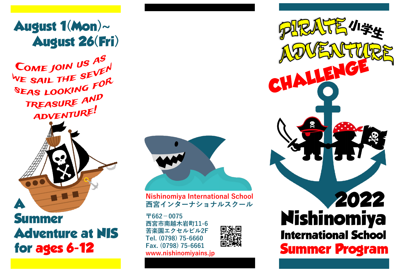## **August 1(Mon)~ August 26(Fri)**

COME JOIN US AS COME JOIN US THEN<br>WE SAIL THE SEVEN WE SAIL THE SEPTOR TREASURE AND ADVENTURE!



**Summer Adventure at NIS for ages 6-12**



**Nishinomiya International School 西宮インターナショナルスクール**

**〒662-0075 西宮市南越木岩町11-6 苦楽園エクセルビル2F Tel. (0798) 75-6660 Fax. (0798) 75-6661 www.nishinomiyains.jp**



**2022 Nishinomiya International School Summer Program**